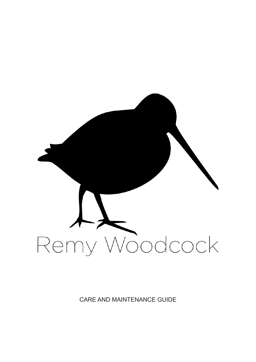

CARE AND MAINTENANCE GUIDE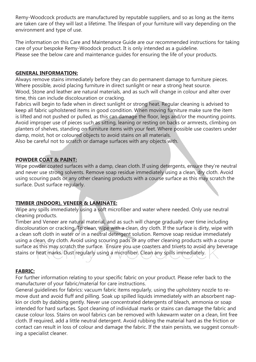Remy-Woodcock products are manufactured by reputable suppliers, and so as long as the items are taken care of they will last a lifetime. The lifespan of your furniture will vary depending on the environment and type of use.

The information on this Care and Maintenance Guide are our recommended instructions for taking care of your bespoke Remy-Woodock product. It is only intended as a guideline. Please see the below care and maintenance guides for ensuring the life of your products.

## **GENERAL INFORMATION:**

Always remove stains immediately before they can do permanent damage to furniture pieces. Where possible, avoid placing furniture in direct sunlight or near a strong heat source. Wood, Stone and leather are natural materials, and as such will change in colour and alter over time, this can include discolouration or cracking.

Fabrics will begin to fade when in direct sunlight or strong heat. Regular cleaning is advised to keep all fabric upholstered items in good condition. When moving furniture make sure the item is lifted and not pushed or pulled, as this can damage the floor, legs and/or the mounting points. Avoid improper use of pieces such as sitting, leaning or resting on backs or armrests, climbing on planters of shelves, standing on furniture items with your feet. Where possible use coasters under damp, moist, hot or coloured objects to avoid stains on all materials.

Also be careful not to scratch or damage surfaces with any objects with.

# **POWDER COAT & PAINT:**

Wipe powder coated surfaces with a damp, clean cloth. If using detergents, ensure they're neutral and never use strong solvents. Remove soap residue immediately using a clean, dry cloth. Avoid using scouring pads or any other cleaning products with a course surface as this may scratch the surface. Dust surface regularly.

# **TIMBER (INDOOR), VENEER & LAMINATE:**

Wipe any spills immediately using a soft microfiber and water where needed. Only use neutral cleaning products.

Timber and Veneer are natural material, and as such will change gradually over time including discolouration or cracking. To clean, wipe with a clean, dry cloth. If the surface is dirty, wipe with a clean soft cloth in water or in a neutral detergent solution. Remove soap residue immediately using a clean, dry cloth. Avoid using scouring pads or any other cleaning products with a course surface as this may scratch the surface. Ensure you use coasters and trivets to avoid any beverage stains or heat marks. Dust regularly using a microfiber. Clean any spills immediately.

## **FABRIC:**

For further information relating to your specific fabric on your product. Please refer back to the manufacturer of your fabric/material for care instructions.

General guidelines for fabrics: vacuum fabric items regularly, using the upholstery nozzle to remove dust and avoid fluff and pilling. Soak up spilled liquids immediately with an absorbent napkin or cloth by dabbing gently. Never use concentrated detergents of bleach, ammonia or soap intended for hard surfaces. Spot cleaning of individual marks or stains can damage the fabric and cause colour loss. Stains on wool fabrics can be removed with lukewarm water on a clean, lint free cloth. If required, add a little neutral detergent. Avoid rubbing the material hard as the friction or contact can result in loss of colour and damage the fabric. If the stain persists, we suggest consulting a specialist cleaner.